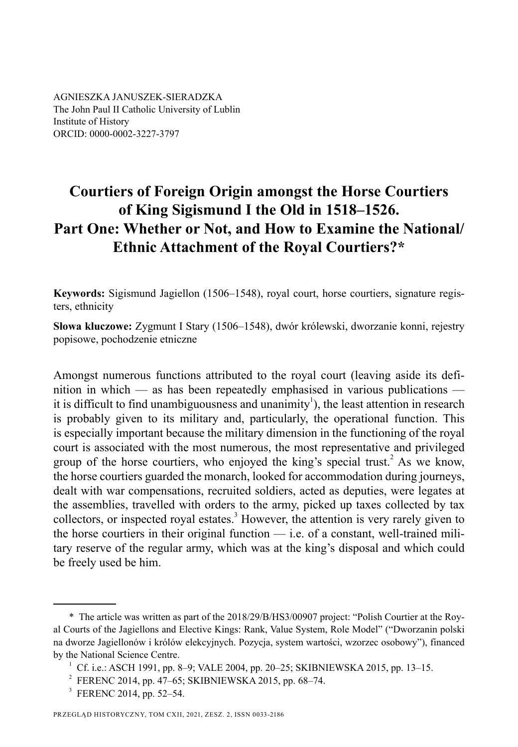AGNIESZKA JANUSZEK-SIERADZKA The John Paul II Catholic University of Lublin Institute of History ORCID: 0000-0002-3227-3797

# **Courtiers of Foreign Origin amongst the Horse Courtiers of King Sigismund I the Old in 1518–1526. Part One: Whether or Not, and How to Examine the National/ Ethnic Attachment of the Royal Courtiers?\***

**Keywords:** Sigismund Jagiellon (1506–1548), royal court, horse courtiers, signature registers, ethnicity

**Słowa kluczowe:** Zygmunt I Stary (1506–1548), dwór królewski, dworzanie konni, rejestry popisowe, pochodzenie etniczne

Amongst numerous functions attributed to the royal court (leaving aside its definition in which — as has been repeatedly emphasised in various publications it is difficult to find unambiguousness and unanimity<sup>1</sup>), the least attention in research is probably given to its military and, particularly, the operational function. This is especially important because the military dimension in the functioning of the royal court is associated with the most numerous, the most representative and privileged group of the horse courtiers, who enjoyed the king's special trust.<sup>2</sup> As we know, the horse courtiers guarded the monarch, looked for accommodation during journeys, dealt with war compensations, recruited soldiers, acted as deputies, were legates at the assemblies, travelled with orders to the army, picked up taxes collected by tax collectors, or inspected royal estates. $3$  However, the attention is very rarely given to the horse courtiers in their original function — i.e. of a constant, well-trained military reserve of the regular army, which was at the king's disposal and which could be freely used be him.

<sup>\*</sup> The article was written as part of the 2018/29/B/HS3/00907 project: "Polish Courtier at the Royal Courts of the Jagiellons and Elective Kings: Rank, Value System, Role Model" ("Dworzanin polski na dworze Jagiellonów i królów elekcyjnych. Pozycja, system wartości, wzorzec osobowy"), financed by the National Science Centre.

 $1 \text{ Cf. i.e.}: ASCII 1991, pp. 8-9; VALE 2004, pp. 20-25; SKIBNIEWSKA 2015, pp. 13-15.$ 

<sup>&</sup>lt;sup>2</sup> FERENC 2014, pp. 47–65; SKIBNIEWSKA 2015, pp. 68–74.

<sup>&</sup>lt;sup>3</sup> FERENC 2014, pp. 52–54.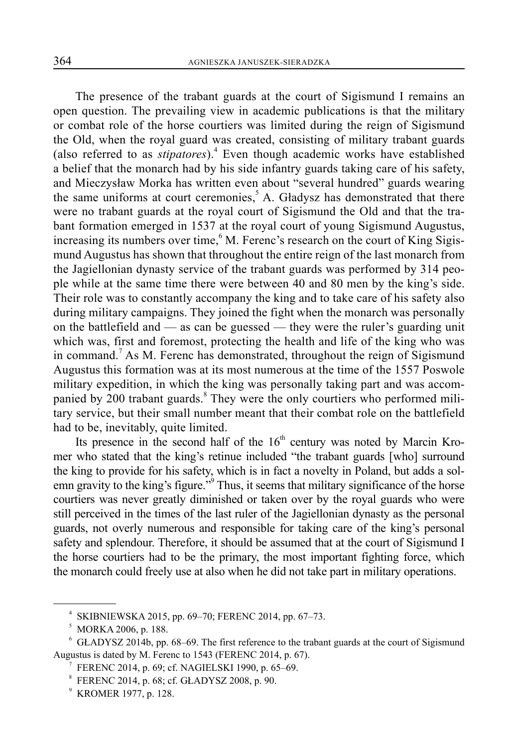The presence of the trabant guards at the court of Sigismund I remains an open question. The prevailing view in academic publications is that the military or combat role of the horse courtiers was limited during the reign of Sigismund the Old, when the royal guard was created, consisting of military trabant guards (also referred to as *stipatores*).<sup>4</sup> Even though academic works have established a belief that the monarch had by his side infantry guards taking care of his safety, and Mieczysław Morka has written even about "several hundred" guards wearing the same uniforms at court ceremonies,<sup>5</sup> A. Gładysz has demonstrated that there were no trabant guards at the royal court of Sigismund the Old and that the trabant formation emerged in 1537 at the royal court of young Sigismund Augustus, increasing its numbers over time,  $6$  M. Ferenc's research on the court of King Sigismund Augustus has shown that throughout the entire reign of the last monarch from the Jagiellonian dynasty service of the trabant guards was performed by 314 people while at the same time there were between 40 and 80 men by the king's side. Their role was to constantly accompany the king and to take care of his safety also during military campaigns. They joined the fight when the monarch was personally on the battlefield and — as can be guessed — they were the ruler's guarding unit which was, first and foremost, protecting the health and life of the king who was in command.<sup>7</sup> As M. Ferenc has demonstrated, throughout the reign of Sigismund Augustus this formation was at its most numerous at the time of the 1557 Poswole military expedition, in which the king was personally taking part and was accompanied by 200 trabant guards.<sup>8</sup> They were the only courtiers who performed military service, but their small number meant that their combat role on the battlefield had to be, inevitably, quite limited.

Its presence in the second half of the  $16<sup>th</sup>$  century was noted by Marcin Kromer who stated that the king's retinue included "the trabant guards [who] surround the king to provide for his safety, which is in fact a novelty in Poland, but adds a solemn gravity to the king's figure."<sup>9</sup> Thus, it seems that military significance of the horse courtiers was never greatly diminished or taken over by the royal guards who were still perceived in the times of the last ruler of the Jagiellonian dynasty as the personal guards, not overly numerous and responsible for taking care of the king's personal safety and splendour. Therefore, it should be assumed that at the court of Sigismund I the horse courtiers had to be the primary, the most important fighting force, which the monarch could freely use at also when he did not take part in military operations.

<sup>4</sup> SKIBNIEWSKA 2015, pp. 69–70; FERENC 2014, pp. 67–73.

 $<sup>5</sup>$  MORKA 2006, p. 188.</sup>

<sup>&</sup>lt;sup>6</sup> GŁADYSZ 2014b, pp. 68–69. The first reference to the trabant guards at the court of Sigismund Augustus is dated by M. Ferenc to 1543 (FERENC 2014, p. 67).

<sup>7</sup> FERENC 2014, p. 69; cf. NAGIELSKI 1990, p. 65–69.

<sup>8</sup> FERENC 2014, p. 68; cf. GŁADYSZ 2008, p. 90.

<sup>9</sup> KROMER 1977, p. 128.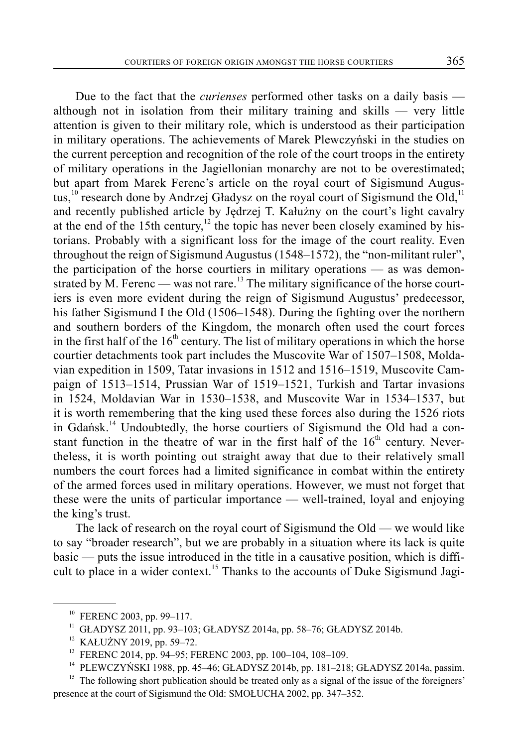Due to the fact that the *curienses* performed other tasks on a daily basis although not in isolation from their military training and skills — very little attention is given to their military role, which is understood as their participation in military operations. The achievements of Marek Plewczyński in the studies on the current perception and recognition of the role of the court troops in the entirety of military operations in the Jagiellonian monarchy are not to be overestimated; but apart from Marek Ferenc's article on the royal court of Sigismund Augustus,<sup>10</sup> research done by Andrzej Gładysz on the royal court of Sigismund the Old,<sup>11</sup> and recently published article by Jędrzej T. Kałużny on the court's light cavalry at the end of the 15th century,<sup>12</sup> the topic has never been closely examined by historians. Probably with a significant loss for the image of the court reality. Even throughout the reign of Sigismund Augustus (1548–1572), the "non-militant ruler", the participation of the horse courtiers in military operations — as was demonstrated by M. Ferenc — was not rare.<sup>13</sup> The military significance of the horse courtiers is even more evident during the reign of Sigismund Augustus' predecessor, his father Sigismund I the Old (1506–1548). During the fighting over the northern and southern borders of the Kingdom, the monarch often used the court forces in the first half of the  $16<sup>th</sup>$  century. The list of military operations in which the horse courtier detachments took part includes the Muscovite War of 1507–1508, Moldavian expedition in 1509, Tatar invasions in 1512 and 1516–1519, Muscovite Campaign of 1513–1514, Prussian War of 1519–1521, Turkish and Tartar invasions in 1524, Moldavian War in 1530–1538, and Muscovite War in 1534–1537, but it is worth remembering that the king used these forces also during the 1526 riots in Gdańsk.<sup>14</sup> Undoubtedly, the horse courtiers of Sigismund the Old had a constant function in the theatre of war in the first half of the  $16<sup>th</sup>$  century. Nevertheless, it is worth pointing out straight away that due to their relatively small numbers the court forces had a limited significance in combat within the entirety of the armed forces used in military operations. However, we must not forget that these were the units of particular importance — well-trained, loyal and enjoying the king's trust.

The lack of research on the royal court of Sigismund the Old — we would like to say "broader research", but we are probably in a situation where its lack is quite basic — puts the issue introduced in the title in a causative position, which is difficult to place in a wider context.<sup>15</sup> Thanks to the accounts of Duke Sigismund Jagi-

<sup>10</sup> FERENC 2003, pp. 99–117.

<sup>&</sup>lt;sup>11</sup> GŁADYSZ 2011, pp. 93–103; GŁADYSZ 2014a, pp. 58–76; GŁADYSZ 2014b.<br><sup>12</sup> KAŁUŻNY 2019, pp. 59–72.

<sup>&</sup>lt;sup>13</sup> FERENC 2014, pp. 94–95; FERENC 2003, pp. 100–104, 108–109.

<sup>&</sup>lt;sup>14</sup> PLEWCZYŃSKI 1988, pp. 45-46; GŁADYSZ 2014b, pp. 181-218; GŁADYSZ 2014a, passim.

<sup>&</sup>lt;sup>15</sup> The following short publication should be treated only as a signal of the issue of the foreigners' presence at the court of Sigismund the Old: SMOŁUCHA 2002, pp. 347–352.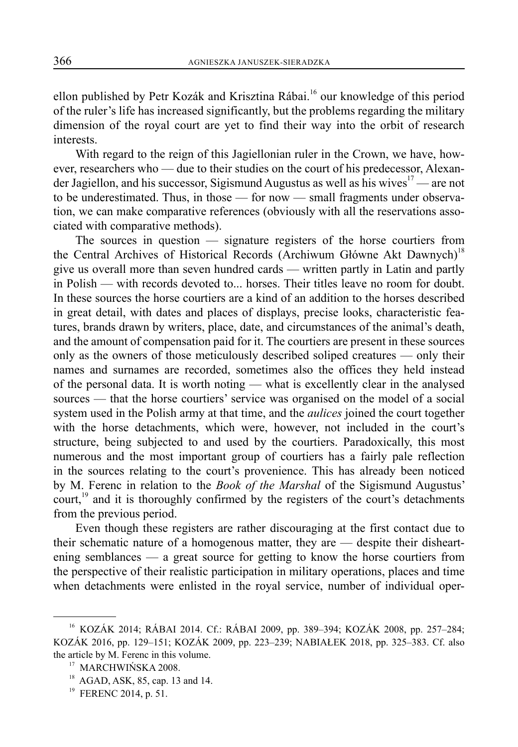ellon published by Petr Kozák and Krisztina Rábai.<sup>16</sup> our knowledge of this period of the ruler's life has increased significantly, but the problems regarding the military dimension of the royal court are yet to find their way into the orbit of research interests.

With regard to the reign of this Jagiellonian ruler in the Crown, we have, however, researchers who — due to their studies on the court of his predecessor, Alexander Jagiellon, and his successor, Sigismund Augustus as well as his wives<sup>17</sup> — are not to be underestimated. Thus, in those — for now — small fragments under observation, we can make comparative references (obviously with all the reservations associated with comparative methods).

The sources in question — signature registers of the horse courtiers from the Central Archives of Historical Records (Archiwum Główne Akt Dawnych)<sup>18</sup> give us overall more than seven hundred cards — written partly in Latin and partly in Polish — with records devoted to... horses. Their titles leave no room for doubt. In these sources the horse courtiers are a kind of an addition to the horses described in great detail, with dates and places of displays, precise looks, characteristic features, brands drawn by writers, place, date, and circumstances of the animal's death, and the amount of compensation paid for it. The courtiers are present in these sources only as the owners of those meticulously described soliped creatures — only their names and surnames are recorded, sometimes also the offices they held instead of the personal data. It is worth noting — what is excellently clear in the analysed sources — that the horse courtiers' service was organised on the model of a social system used in the Polish army at that time, and the *aulices* joined the court together with the horse detachments, which were, however, not included in the court's structure, being subjected to and used by the courtiers. Paradoxically, this most numerous and the most important group of courtiers has a fairly pale reflection in the sources relating to the court's provenience. This has already been noticed by M. Ferenc in relation to the *Book of the Marshal* of the Sigismund Augustus' court,<sup>19</sup> and it is thoroughly confirmed by the registers of the court's detachments from the previous period.

Even though these registers are rather discouraging at the first contact due to their schematic nature of a homogenous matter, they are — despite their disheartening semblances — a great source for getting to know the horse courtiers from the perspective of their realistic participation in military operations, places and time when detachments were enlisted in the royal service, number of individual oper-

<sup>16</sup> KOZÁK 2014; RÁBAI 2014. Cf.: RÁ BAI 2009, pp. 389–394; KOZÁK 2008, pp. 257–284; KOZÁK 2016, pp. 129–151; KOZÁK 2009, pp. 223–239; NABIAŁEK 2018, pp. 325–383. Cf. also the article by M. Ferenc in this volume.<br><sup>17</sup> MARCHWIŃSKA 2008.<br><sup>18</sup> AGAD, ASK, 85, cap. 13 and 14.

<sup>&</sup>lt;sup>19</sup> FERENC 2014, p. 51.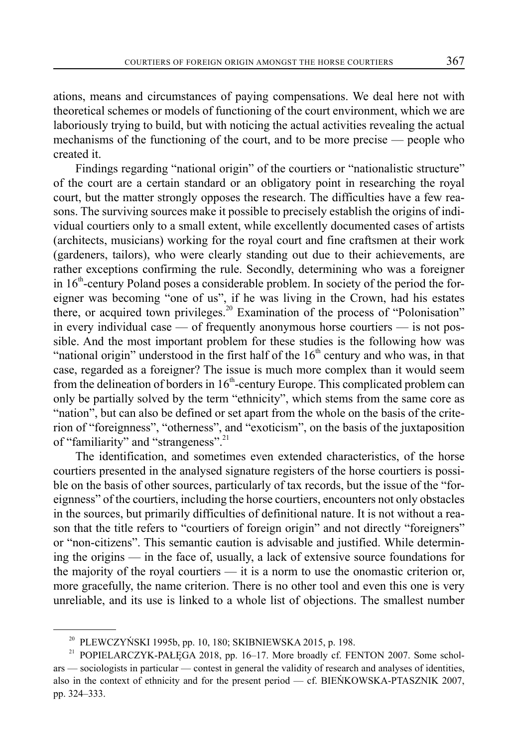ations, means and circumstances of paying compensations. We deal here not with theoretical schemes or models of functioning of the court environment, which we are laboriously trying to build, but with noticing the actual activities revealing the actual mechanisms of the functioning of the court, and to be more precise — people who created it.

Findings regarding "national origin" of the courtiers or "nationalistic structure" of the court are a certain standard or an obligatory point in researching the royal court, but the matter strongly opposes the research. The difficulties have a few reasons. The surviving sources make it possible to precisely establish the origins of individual courtiers only to a small extent, while excellently documented cases of artists (architects, musicians) working for the royal court and fine craftsmen at their work (gardeners, tailors), who were clearly standing out due to their achievements, are rather exceptions confirming the rule. Secondly, determining who was a foreigner in  $16<sup>th</sup>$ -century Poland poses a considerable problem. In society of the period the foreigner was becoming "one of us", if he was living in the Crown, had his estates there, or acquired town privileges.<sup>20</sup> Examination of the process of "Polonisation" in every individual case — of frequently anonymous horse courtiers — is not possible. And the most important problem for these studies is the following how was "national origin" understood in the first half of the  $16<sup>th</sup>$  century and who was, in that case, regarded as a foreigner? The issue is much more complex than it would seem from the delineation of borders in 16<sup>th</sup>-century Europe. This complicated problem can only be partially solved by the term "ethnicity", which stems from the same core as "nation", but can also be defined or set apart from the whole on the basis of the criterion of "foreignness", "otherness", and "exoticism", on the basis of the juxtaposition of "familiarity" and "strangeness".<sup>21</sup>

The identification, and sometimes even extended characteristics, of the horse courtiers presented in the analysed signature registers of the horse courtiers is possible on the basis of other sources, particularly of tax records, but the issue of the "foreignness" of the courtiers, including the horse courtiers, encounters not only obstacles in the sources, but primarily difficulties of definitional nature. It is not without a reason that the title refers to "courtiers of foreign origin" and not directly "foreigners" or "non-citizens". This semantic caution is advisable and justified. While determining the origins — in the face of, usually, a lack of extensive source foundations for the majority of the royal courtiers — it is a norm to use the onomastic criterion or, more gracefully, the name criterion. There is no other tool and even this one is very unreliable, and its use is linked to a whole list of objections. The smallest number

 $20$  PLEWCZYŃSKI 1995b, pp. 10, 180; SKIBNIEWSKA 2015, p. 198.

POPIELARCZYK-PAŁĘGA 2018, pp. 16-17. More broadly cf. FENTON 2007. Some scholars — sociologists in particular — contest in general the validity of research and analyses of identities, also in the context of ethnicity and for the present period — cf. BIEŃKOWSKA-PTASZNIK 2007, pp. 324–333.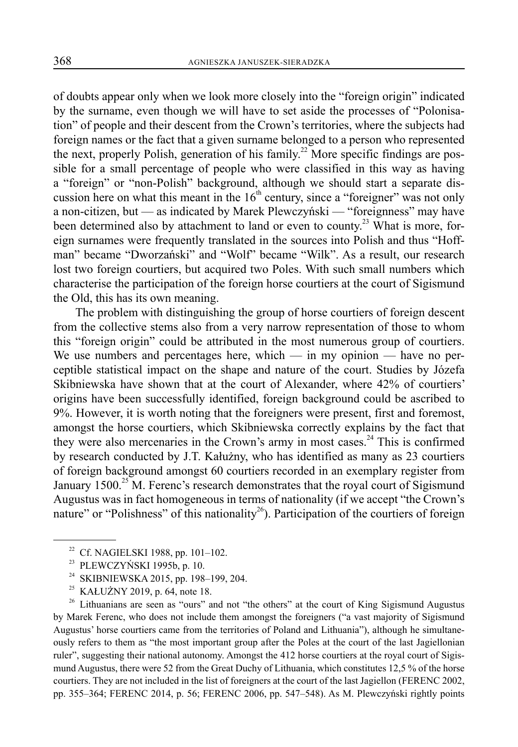of doubts appear only when we look more closely into the "foreign origin" indicated by the surname, even though we will have to set aside the processes of "Polonisation" of people and their descent from the Crown's territories, where the subjects had foreign names or the fact that a given surname belonged to a person who represented the next, properly Polish, generation of his family.<sup>22</sup> More specific findings are possible for a small percentage of people who were classified in this way as having a "foreign" or "non-Polish" background, although we should start a separate discussion here on what this meant in the  $16<sup>th</sup>$  century, since a "foreigner" was not only a non-citizen, but — as indicated by Marek Plewczyński — "foreignness" may have been determined also by attachment to land or even to county.<sup>23</sup> What is more, foreign surnames were frequently translated in the sources into Polish and thus "Hoffman" became "Dworzański" and "Wolf" became "Wilk". As a result, our research lost two foreign courtiers, but acquired two Poles. With such small numbers which characterise the participation of the foreign horse courtiers at the court of Sigismund the Old, this has its own meaning.

The problem with distinguishing the group of horse courtiers of foreign descent from the collective stems also from a very narrow representation of those to whom this "foreign origin" could be attributed in the most numerous group of courtiers. We use numbers and percentages here, which — in my opinion — have no perceptible statistical impact on the shape and nature of the court. Studies by Józefa Skibniewska have shown that at the court of Alexander, where 42% of courtiers' origins have been successfully identified, foreign background could be ascribed to 9%. However, it is worth noting that the foreigners were present, first and foremost, amongst the horse courtiers, which Skibniewska correctly explains by the fact that they were also mercenaries in the Crown's army in most cases.<sup>24</sup> This is confirmed by research conducted by J.T. Kałużny, who has identified as many as 23 courtiers of foreign background amongst 60 courtiers recorded in an exemplary register from January  $1500$ <sup>25</sup> M. Ferenc's research demonstrates that the royal court of Sigismund Augustus was in fact homogeneous in terms of nationality (if we accept "the Crown's nature" or "Polishness" of this nationality<sup>26</sup>). Participation of the courtiers of foreign

 $26$  Lithuanians are seen as "ours" and not "the others" at the court of King Sigismund Augustus by Marek Ferenc, who does not include them amongst the foreigners ("a vast majority of Sigismund Augustus' horse courtiers came from the territories of Poland and Lithuania"), although he simultaneously refers to them as "the most important group after the Poles at the court of the last Jagiellonian ruler", suggesting their national autonomy. Amongst the 412 horse courtiers at the royal court of Sigismund Augustus, there were 52 from the Great Duchy of Lithuania, which constitutes 12,5 % of the horse courtiers. They are not included in the list of foreigners at the court of the last Jagiellon (FERENC 2002, pp. 355–364; FERENC 2014, p. 56; FERENC 2006, pp. 547–548). As M. Plewczyński rightly points

<sup>&</sup>lt;sup>22</sup> Cf. NAGIELSKI 1988, pp. 101-102.

<sup>&</sup>lt;sup>23</sup> PLEWCZYŃSKI 1995b, p. 10.<br><sup>24</sup> SKIBNIEWSKA 2015, pp. 198.

SKIBNIEWSKA 2015, pp. 198-199, 204.

<sup>&</sup>lt;sup>25</sup> KAŁUŻNY 2019, p. 64, note 18.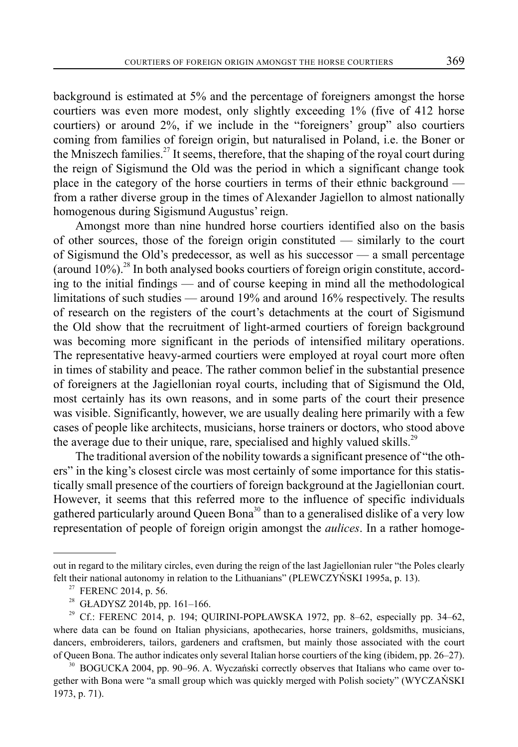background is estimated at 5% and the percentage of foreigners amongst the horse courtiers was even more modest, only slightly exceeding 1% (five of 412 horse courtiers) or around 2%, if we include in the "foreigners' group" also courtiers coming from families of foreign origin, but naturalised in Poland, i.e. the Boner or the Mniszech families.<sup>27</sup> It seems, therefore, that the shaping of the royal court during the reign of Sigismund the Old was the period in which a significant change took place in the category of the horse courtiers in terms of their ethnic background from a rather diverse group in the times of Alexander Jagiellon to almost nationally homogenous during Sigismund Augustus' reign.

Amongst more than nine hundred horse courtiers identified also on the basis of other sources, those of the foreign origin constituted — similarly to the court of Sigismund the Old's predecessor, as well as his successor — a small percentage (around  $10\%$ ).<sup>28</sup> In both analysed books courtiers of foreign origin constitute, according to the initial findings — and of course keeping in mind all the methodological limitations of such studies — around 19% and around 16% respectively. The results of research on the registers of the court's detachments at the court of Sigismund the Old show that the recruitment of light-armed courtiers of foreign background was becoming more significant in the periods of intensified military operations. The representative heavy-armed courtiers were employed at royal court more often in times of stability and peace. The rather common belief in the substantial presence of foreigners at the Jagiellonian royal courts, including that of Sigismund the Old, most certainly has its own reasons, and in some parts of the court their presence was visible. Significantly, however, we are usually dealing here primarily with a few cases of people like architects, musicians, horse trainers or doctors, who stood above the average due to their unique, rare, specialised and highly valued skills.<sup>29</sup>

The traditional aversion of the nobility towards a significant presence of "the others" in the king's closest circle was most certainly of some importance for this statistically small presence of the courtiers of foreign background at the Jagiellonian court. However, it seems that this referred more to the influence of specific individuals gathered particularly around Queen Bona<sup>30</sup> than to a generalised dislike of a very low representation of people of foreign origin amongst the *aulices*. In a rather homoge-

out in regard to the military circles, even during the reign of the last Jagiellonian ruler "the Poles clearly felt their national autonomy in relation to the Lithuanians" (PLEWCZYŃSKI 1995a, p. 13).

<sup>&</sup>lt;sup>27</sup> FERENC 2014, p. 56.

 $^{28}$  GŁADYSZ 2014b, pp. 161–166.

<sup>&</sup>lt;sup>29</sup> Cf.: FERENC 2014, p. 194; QUIRINI-POPŁAWSKA 1972, pp. 8–62, especially pp. 34–62, where data can be found on Italian physicians, apothecaries, horse trainers, goldsmiths, musicians, dancers, embroiderers, tailors, gardeners and craftsmen, but mainly those associated with the court of Queen Bona. The author indicates only several Italian horse courtiers of the king (ibidem, pp. 26–27).

 $30$  BOGUCKA 2004, pp. 90–96. A. Wyczański correctly observes that Italians who came over together with Bona were "a small group which was quickly merged with Polish society" (WYCZAŃSKI 1973, p. 71).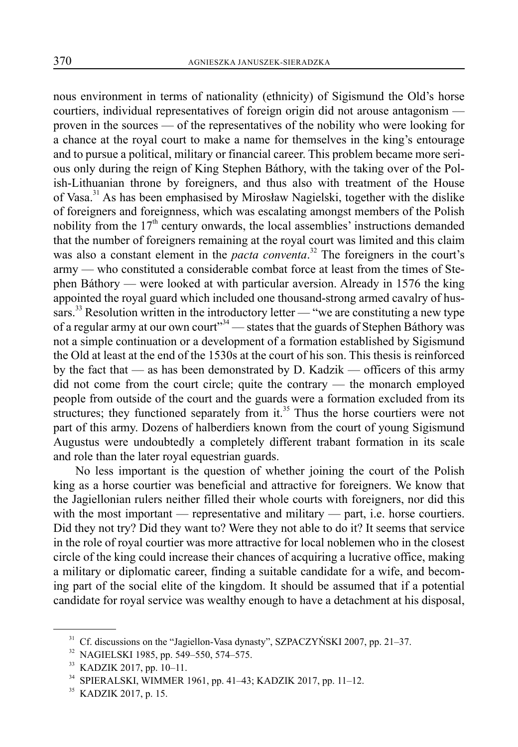nous environment in terms of nationality (ethnicity) of Sigismund the Old's horse courtiers, individual representatives of foreign origin did not arouse antagonism proven in the sources — of the representatives of the nobility who were looking for a chance at the royal court to make a name for themselves in the king's entourage and to pursue a political, military or financial career. This problem became more serious only during the reign of King Stephen Báthory, with the taking over of the Polish-Lithuanian throne by foreigners, and thus also with treatment of the House of Vasa.<sup>31</sup> As has been emphasised by Mirosław Nagielski, together with the dislike of foreigners and foreignness, which was escalating amongst members of the Polish nobility from the  $17<sup>th</sup>$  century onwards, the local assemblies' instructions demanded that the number of foreigners remaining at the royal court was limited and this claim was also a constant element in the *pacta conventa*.<sup>32</sup> The foreigners in the court's army — who constituted a considerable combat force at least from the times of Stephen Báthory — were looked at with particular aversion. Already in 1576 the king appointed the royal guard which included one thousand-strong armed cavalry of hussars.<sup>33</sup> Resolution written in the introductory letter — "we are constituting a new type of a regular army at our own court"<sup>34</sup> — states that the guards of Stephen Báthory was not a simple continuation or a development of a formation established by Sigismund the Old at least at the end of the 1530s at the court of his son. This thesis is reinforced by the fact that — as has been demonstrated by D. Kadzik — officers of this army did not come from the court circle; quite the contrary — the monarch employed people from outside of the court and the guards were a formation excluded from its structures; they functioned separately from it. $35$  Thus the horse courtiers were not part of this army. Dozens of halberdiers known from the court of young Sigismund Augustus were undoubtedly a completely different trabant formation in its scale and role than the later royal equestrian guards.

No less important is the question of whether joining the court of the Polish king as a horse courtier was beneficial and attractive for foreigners. We know that the Jagiellonian rulers neither filled their whole courts with foreigners, nor did this with the most important — representative and military — part, i.e. horse courtiers. Did they not try? Did they want to? Were they not able to do it? It seems that service in the role of royal courtier was more attractive for local noblemen who in the closest circle of the king could increase their chances of acquiring a lucrative office, making a military or diplomatic career, finding a suitable candidate for a wife, and becoming part of the social elite of the kingdom. It should be assumed that if a potential candidate for royal service was wealthy enough to have a detachment at his disposal,

<sup>&</sup>lt;sup>31</sup> Cf. discussions on the "Jagiellon-Vasa dynasty", SZPACZYŃSKI 2007, pp. 21–37.

<sup>32</sup> NAGIELSKI 1985, pp. 549–550, 574–575.

<sup>33</sup> KADZIK 2017, pp. 10–11.

<sup>34</sup> SPIERALSKI, WIMMER 1961, pp. 41–43; KADZIK 2017, pp. 11–12.

<sup>35</sup> KADZIK 2017, p. 15.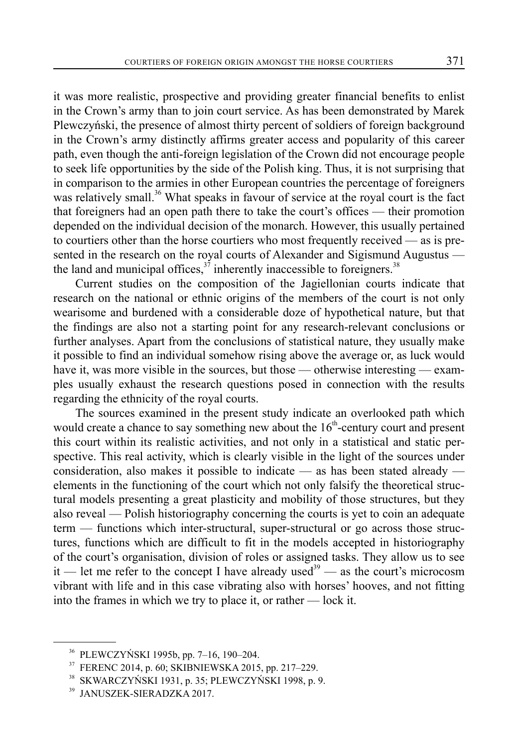it was more realistic, prospective and providing greater financial benefits to enlist in the Crown's army than to join court service. As has been demonstrated by Marek Plewczyński, the presence of almost thirty percent of soldiers of foreign background in the Crown's army distinctly affirms greater access and popularity of this career path, even though the anti-foreign legislation of the Crown did not encourage people to seek life opportunities by the side of the Polish king. Thus, it is not surprising that in comparison to the armies in other European countries the percentage of foreigners was relatively small.<sup>36</sup> What speaks in favour of service at the royal court is the fact that foreigners had an open path there to take the court's offices — their promotion depended on the individual decision of the monarch. However, this usually pertained

to courtiers other than the horse courtiers who most frequently received — as is presented in the research on the royal courts of Alexander and Sigismund Augustus the land and municipal offices,<sup>37</sup> inherently inaccessible to foreigners.<sup>38</sup>

Current studies on the composition of the Jagiellonian courts indicate that research on the national or ethnic origins of the members of the court is not only wearisome and burdened with a considerable doze of hypothetical nature, but that the findings are also not a starting point for any research-relevant conclusions or further analyses. Apart from the conclusions of statistical nature, they usually make it possible to find an individual somehow rising above the average or, as luck would have it, was more visible in the sources, but those — otherwise interesting — examples usually exhaust the research questions posed in connection with the results regarding the ethnicity of the royal courts.

The sources examined in the present study indicate an overlooked path which would create a chance to say something new about the  $16<sup>th</sup>$ -century court and present this court within its realistic activities, and not only in a statistical and static perspective. This real activity, which is clearly visible in the light of the sources under consideration, also makes it possible to indicate — as has been stated already elements in the functioning of the court which not only falsify the theoretical structural models presenting a great plasticity and mobility of those structures, but they also reveal — Polish historiography concerning the courts is yet to coin an adequate term — functions which inter-structural, super-structural or go across those structures, functions which are difficult to fit in the models accepted in historiography of the court's organisation, division of roles or assigned tasks. They allow us to see it — let me refer to the concept I have already used<sup>39</sup> — as the court's microcosm vibrant with life and in this case vibrating also with horses' hooves, and not fitting into the frames in which we try to place it, or rather — lock it.

<sup>36</sup> PLEWCZYŃSKI 1995b, pp. 7–16, 190–204.

<sup>37</sup> FERENC 2014, p. 60; SKIBNIEWSKA 2015, pp. 217–229.

<sup>38</sup> SKWARCZYŃSKI 1931, p. 35; PLEWCZYŃSKI 1998, p. 9.

<sup>39</sup> JANUSZEK-SIERADZKA 2017.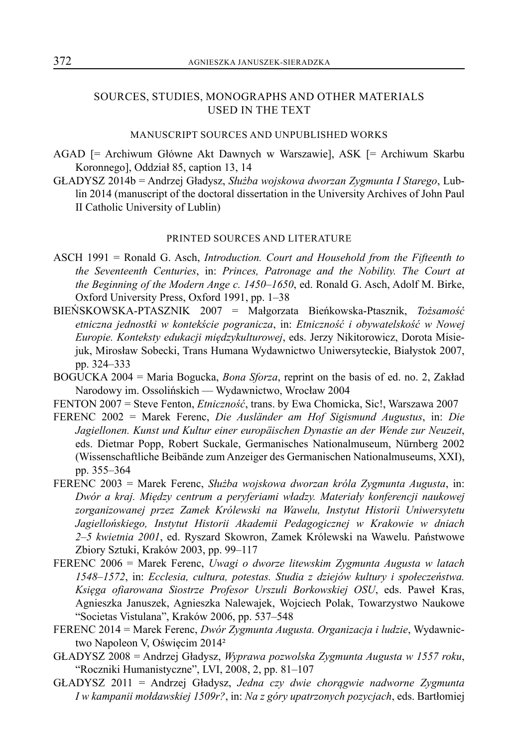### SOURCES, STUDIES, MONOGRAPHS AND OTHER MATERIALS USED IN THE TEXT

#### MANUSCRIPT SOURCES AND UNPUBLISHED WORKS

- AGAD [= Archiwum Główne Akt Dawnych w Warszawie], ASK [= Archiwum Skarbu Koronnego], Oddział 85, caption 13, 14
- GŁAD YSZ 2014b = Andrzej Gładysz, *Służba wojskowa dworzan Zygmunta I Starego*, Lublin 2014 (manuscript of the doctoral dissertation in the University Archives of John Paul II Catholic University of Lublin)

#### PRINTED SOURCES AND LITERATURE

- ASCH 1991 = Ronald G. Asch, *Introduction. Court and Household from the Fifteenth to the Seventeenth Centuries*, in: *Princes, Patronage and the Nobility. The Court at the Beginning of the Modern Ange c. 1450–1650*, ed. Ronald G. Asch, Adolf M. Birke, Oxford University Press, Oxford 1991, pp. 1–38
- BIEŃSKOWSKA-PTASZNIK 2007 = Małgorzata Bieńkowska-Ptasznik, *Tożsamość etniczna jednostki w kontekście pogranicza*, in: *Etniczność i obywatelskość w Nowej Europie. Konteksty edukacji międzykulturowej*, eds. Jerzy Nikitorowicz, Dorota Misiejuk, Mirosław Sobecki, Trans Humana Wydawnictwo Uniwersyteckie, Białystok 2007, pp. 324–333
- BOGUCKA 2004 = Maria Bogucka, *Bona Sforza*, reprint on the basis of ed. no. 2, Zakład Narodowy im. Ossolińskich — Wydawnictwo, Wrocław 2004
- FENTON 2007 = Steve Fenton, *Etniczność*, trans. by Ewa Chomicka, Sic!, Warszawa 2007
- FERENC 2002 = Marek Ferenc, *Die Ausländer am Hof Sigismund Augustus*, in: *Die Jagiellonen. Kunst und Kultur einer europäischen Dynastie an der Wende zur Neuzeit*, eds. Dietmar Popp, Robert Suckale, Germanisches Nationalmuseum, Nürnberg 2002 (Wissenschaftliche Beibände zum Anzeiger des Germanischen Nationalmuseums, XXI), pp. 355–364
- FERENC 2003 = Marek Ferenc, *Służba wojskowa dworzan króla Zygmunta Augusta*, in: *Dwór a kraj. Między centrum a peryferiami władzy. Materiały konferencji naukowej zorganizowanej przez Zamek Królewski na Wawelu, Instytut Historii Uniwersytetu Jagiellońskiego, Instytut Historii Akademii Pedagogicznej w Krakowie w dniach 2–5 kwietnia 2001*, ed. Ryszard Skowron, Zamek Królewski na Wawelu. Państwowe Zbiory Sztuki, Kraków 2003, pp. 99–117
- FERENC 2006 = Marek Ferenc, *Uwagi o dworze litewskim Zygmunta Augusta w latach 1548–1572*, in: *Ecclesia, cultura, potestas. Studia z dziejów kultury i społeczeństwa. Księga ofiarowana Siostrze Profesor Urszuli Borkowskiej OSU*, eds. Paweł Kras, Agnieszka Januszek, Agnieszka Nalewajek, Wojciech Polak, Towarzystwo Naukowe "Societas Vistulana", Kraków 2006, pp. 537–548
- FERENC 2014 = Marek Ferenc, *Dwór Zygmunta Augusta. Organizacja i ludzie*, Wydawnictwo Napoleon V, Oświęcim 2014²
- GŁADYSZ 2008 = Andrzej Gładysz, *Wyprawa pozwolska Zygmunta Augusta w 1557 roku*, "Roczniki Humanistyczne", LVI, 2008, 2, pp. 81–107
- GŁADYSZ 2011 = Andrzej Gładysz, *Jedna czy dwie chorągwie nadworne Zygmunta I w kampanii mołdawskiej 1509r?*, in: *Na z góry upatrzonych pozycjach*, eds. Bartłomiej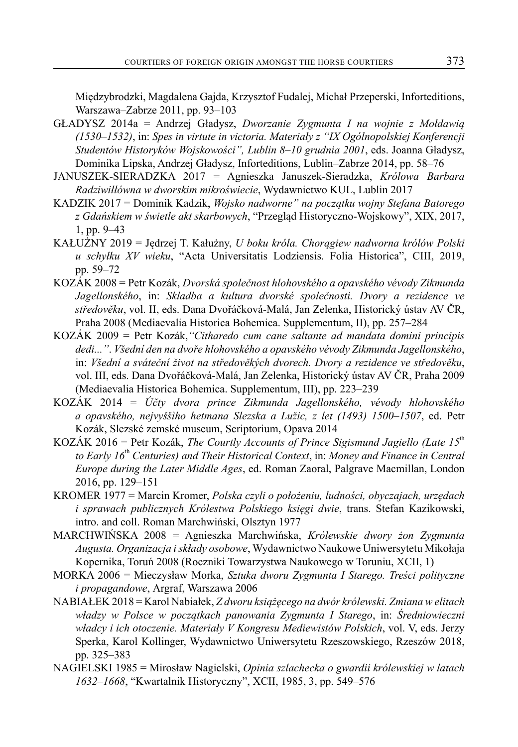Międzybrodzki, Magdalena Gajda, Krzysztof Fudalej, Michał Przeperski, Inforteditions, Warszawa–Zabrze 2011, pp. 93–103

- GŁADYSZ 2014a = Andrzej Gładysz, *Dworzanie Zygmunta I na wojnie z Mołdawią (1530–1 532)*, in: *Spes in virtute in victoria. Materiały z "IX Ogólnopolskiej Konferencji Studentów Historyków Wojskowości", Lublin 8–10 grudnia 2001*, eds. Joanna Gładysz, Dominika Lipska, Andrzej Gładysz, Inforteditions, Lublin–Zabrze 2014, pp. 58–76
- JANUSZEK-SIERADZKA 2017 = Agnieszka Januszek-Sieradzka, *Królowa Barbara Radziwiłłówna w dworskim mikroświecie*, Wydawnictwo KUL, Lublin 2017
- KADZIK 2017 = Dominik Kadzik, *Wojsko nadworne" na początku wojny Stefana Batorego z Gdańskiem w świetle akt skarbowych*, "Przegląd Historyczno-Wojskowy", XIX, 2017, 1, pp. 9–43
- KAŁUŻNY 2019 = Jędrzej T. Kałużny, *U boku króla. Chorągiew nadworna królów Polski u schyłku XV wieku*, "Acta Universitatis Lodziensis. Folia Historica", CIII, 2019, pp. 59–72
- KOZÁK 2008 = Petr Kozák, *Dvorská společnost hlohovského a opavského vévody Zikmunda Jagellonského*, in: *Skladba a kultura dvorské společnosti. Dvory a rezidence ve středověku*, vol. II, eds. Dana Dvořáčková-Malá, Jan Zelenka, Historický ústav AV ČR, Praha 2008 (Mediaevalia Historica Bohemica. Supplementum, II), pp. 257–284
- KOZÁK 2009 = Petr Kozák,*"Citharedo cum cane saltante ad mandata domini principis dedi..."*. *Všední den na dvoře hlohovského a opavského vévody Zikmunda Jagellonského*, in: *Všední a sváteční život na středověkých dvorech. Dvory a rezidence ve středověku*, vol. III, eds. Dana Dvořáčková-Malá, Jan Zelenka, Historický ústav AV ČR, Praha 2009 (Mediaevalia Historica Bohemica. Supplementum, III), pp. 223–239
- KOZÁK 2014 = *Účty dvora prince Zikmunda Jagellonského, vévody hlohovského a opavského, nejvyššìho hetmana Slezska a Lužic, z let (1493) 1500–1507*, ed. Petr Kozák, Slezské zemské museum, Scriptorium, Opava 2014
- KOZÁK 2016 = Petr Kozák, *The Courtly Accounts of Prince Sigismund Jagiello (Late 15*th *to Early 16*th *Centuries) and Their Historical Context*, in: *Money and Finance in Central Europe during the Later Middle Ages*, ed. Roman Zaoral, Palgrave Macmillan, London 2016, pp. 129–151
- KROMER 1977 = Marcin Kromer, *Polska czyli o położeniu, ludności, obyczajach, urzędach i sprawach publicznych Królestwa Polskiego księgi dwie*, trans. Stefan Kazikowski, intro. and coll. Roman Marchwiński, Olsztyn 1977
- MARCHWIŃSKA 2008 = Agnieszka Marchwińska, *Królewskie dwory żon Zygmunta Augusta. Organizacja i składy osobowe*, Wydawnictwo Naukowe Uniwersytetu Mikołaja Kopernika, Toruń 2008 (Roczniki Towarzystwa Naukowego w Toruniu, XCII, 1)
- MORKA 2006 = Mieczysław Morka, *Sztuka dworu Zygmunta I Starego. Treści polityczne i propagandowe*, Argraf, Warszawa 2006
- NABIAŁEK 2018 = Karol Nabiałek, *Z dworu książęcego na dwór królewski. Zmiana w elitach władzy w Polsce w początkach panowania Zygmunta I Starego*, in: *Średniowieczni władcy i ich otoczenie. Materiały V Kongresu Mediewistów Polskich*, vol. V, eds. Jerzy Sperka, Karol Kollinger, Wydawnictwo Uniwersytetu Rzeszowskiego, Rzeszów 2018, pp. 325–383
- NAGIELSKI 1985 = Mirosław Nagielski, *Opinia szlachecka o gwardii królewskiej w latach 1632–1668*, "Kwartalnik Historyczny", XCII, 1985, 3, pp. 549–576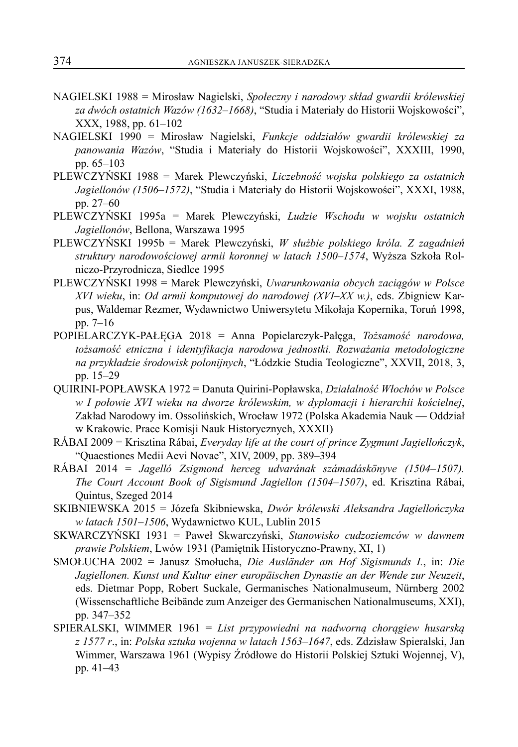- NAGIELSKI 1988 = Mirosław Nagielski, *Społeczny i narodowy skład gwardii królewskiej za dwóch ostatnich Wazów (1632–1668)*, "Studia i Materiały do Historii Wojskowości", XXX, 1988, pp. 61–102
- NAGIELSKI 1990 = Mirosław Nagielski, *Funkcje oddziałów gwardii królewskiej za panowania Wazów*, "Studia i Materiały do Historii Wojskowości", XXXIII, 1990, pp. 65–103
- PLEWCZYŃSKI 1988 = Marek Plewczyński, *Liczebność wojska polskiego za ostatnich Jagiellonów (1506–1572)*, "Studia i Materiały do Historii Wojskowości", XXXI, 1988, pp. 27–60
- PLEWCZYŃSKI 1995a = Marek Plewczyński, *Ludzie Wschodu w wojsku ostatnich Jagiellonów*, Bellona, Warszawa 1995
- PLEWCZYŃSKI 1995b = Marek Plewczyński, *W służbie polskiego króla. Z zagadnień struktury narodowościowej armii koronnej w latach 1500–1574*, Wyższa Szkoła Rolniczo-Przyrodnicza, Siedlce 1995
- PLEWCZYŃSKI 1998 = Marek Plewczyński, *Uwarunkowania obcych zaciągów w Polsce XVI wieku*, in: *Od armii komputowej do narodowej (XVI–XX w.)*, eds. Zbigniew Karpus, Waldemar Rezmer, Wydawnictwo Uniwersytetu Mikołaja Kopernika, Toruń 1998, pp. 7–16
- POPIELARCZYK-PAŁĘGA 2018 = Anna Popielarczyk-Pałęga, *Tożsamość narodowa, tożsamość etniczna i identyfikacja narodowa jednostki. Rozważania metodologiczne na przykładzie środowisk polonijnych*, "Łódzkie Studia Teologiczne", XXVII, 2018, 3, pp. 15–29
- QUIRINI-POPŁAWSKA 1972 = Danuta Quirini-Popławska, *Działalność Włochów w Polsce w I połowie XVI wieku na dworze królewskim, w dyplomacji i hierarchii kościelnej*, Zakład Narodowy im. Ossolińskich, Wrocław 1972 (Polska Akademia Nauk — Oddział w Krakowie. Prace Komisji Nauk Historycznych, XXXII)
- RÁBAI 2009 = Krisztina Rábai, *Everyday life at the court of prince Zygmunt Jagiellończyk*, "Quaestiones Medii Aevi Novae", XIV, 2009, pp. 389–394
- RÁBAI 2014 = *Jagelló Zsigmond herceg udvarának számadáskönyve (1504–1507). The Court Account Book of Sigismund Jagiellon (1504–1507)*, ed. Krisztina Rábai, Quintus, Szeged 2014
- SKIBNIEWSKA 2015 = Józefa Skibniewska, *Dwór królewski Aleksandra Jagiellończyka w latach 1501–1506*, Wydawnictwo KUL, Lublin 2015
- SKWARCZYŃSKI 1931 = Paweł Skwarczyński, *Stanowisko cudzoziemców w dawnem prawie Polskiem*, Lwów 1931 (Pamiętnik Historyczno-Prawny, XI, 1)
- SMOŁUCHA 2002 = Janusz Smołucha, *Die Ausländer am Hof Sigismunds I.*, in: *Die Jagiellonen. Kunst und Kultur einer europäischen Dynastie an der Wende zur Neuzeit*, eds. Dietmar Popp, Robert Suckale, Germanisches Nationalmuseum, Nürnberg 2002 (Wissenschaftliche Beibände zum Anzeiger des Germanischen Nationalmuseums, XXI), pp. 347–352
- SPIERALSKI, WIMMER 1961 = *List przypowiedni na nadworną chorągiew husarską z 1577 r*., in: *Polska sztuka wojenna w latach 1563–1647*, eds. Zdzisław Spieralski, Jan Wimmer, Warszawa 1961 (Wypisy Źródłowe do Historii Polskiej Sztuki Wojennej, V), pp. 41–43